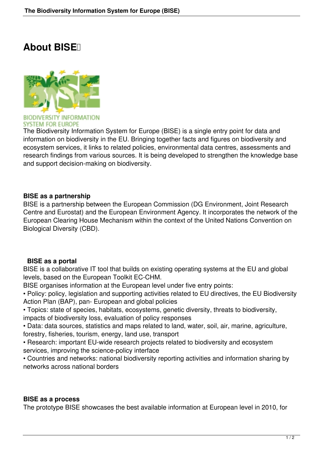## **About BISE**



**SYSTEM FOR EUROPE** 

The Biodiversity Information System for Europe (BISE) is a single entry point for data and information on biodiversity in the EU. Bringing together facts and figures on biodiversity and ecosystem services, it links to related policies, environmental data centres, assessments and research findings from various sources. It is being developed to strengthen the knowledge base and support decision-making on biodiversity.

## **BISE as a partnership**

BISE is a partnership between the European Commission (DG Environment, Joint Research Centre and Eurostat) and the European Environment Agency. It incorporates the network of the European Clearing House Mechanism within the context of the United Nations Convention on Biological Diversity (CBD).

## **BISE as a portal**

BISE is a collaborative IT tool that builds on existing operating systems at the EU and global levels, based on the European Toolkit EC-CHM.

BISE organises information at the European level under five entry points:

• Policy: policy, legislation and supporting activities related to EU directives, the EU Biodiversity Action Plan (BAP), pan- European and global policies

• Topics: state of species, habitats, ecosystems, genetic diversity, threats to biodiversity, impacts of biodiversity loss, evaluation of policy responses

• Data: data sources, statistics and maps related to land, water, soil, air, marine, agriculture, forestry, fisheries, tourism, energy, land use, transport

• Research: important EU-wide research projects related to biodiversity and ecosystem services, improving the science-policy interface

• Countries and networks: national biodiversity reporting activities and information sharing by networks across national borders

## **BISE as a process**

The prototype BISE showcases the best available information at European level in 2010, for